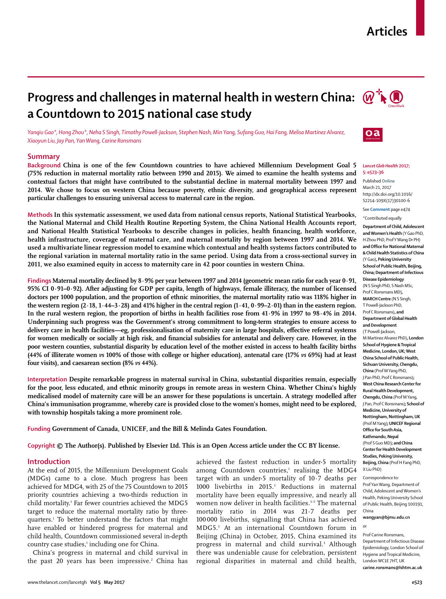# **Articles**

# **Progress and challenges in maternal health in western China:**  $\mathcal{W}^*$ **a Countdown to 2015 national case study**

*Yanqiu Gao\*, Hong Zhou\*, Neha S Singh, Timothy Powell-Jackson, Stephen Nash, Min Yang, Sufang Guo, Hai Fang, Melisa Martinez Alvarez, Xiaoyun Liu, Jay Pan, Yan Wang, Carine Ronsmans*

## **Summary**

**Background China is one of the few Countdown countries to have achieved Millennium Development Goal 5 (75% reduction in maternal mortality ratio between 1990 and 2015). We aimed to examine the health systems and contextual factors that might have contributed to the substantial decline in maternal mortality between 1997 and 2014. We chose to focus on western China because poverty, ethnic diversity, and geographical access represent particular challenges to ensuring universal access to maternal care in the region.**

**Methods In this systematic assessment, we used data from national census reports, National Statistical Yearbooks, the National Maternal and Child Health Routine Reporting System, the China National Health Accounts report, and National Health Statistical Yearbooks to describe changes in policies, health financing, health workforce, health infrastructure, coverage of maternal care, and maternal mortality by region between 1997 and 2014. We used a multivariate linear regression model to examine which contextual and health systems factors contributed to the regional variation in maternal mortality ratio in the same period. Using data from a cross-sectional survey in 2011, we also examined equity in access to maternity care in 42 poor counties in western China.**

**Findings Maternal mortality declined by 8·9% per year between 1997 and 2014 (geometric mean ratio for each year 0·91, 95% CI 0·91–0·92). After adjusting for GDP per capita, length of highways, female illiteracy, the number of licensed doctors per 1000 population, and the proportion of ethnic minorities, the maternal mortality ratio was 118% higher in the western region (2·18, 1·44–3·28) and 41% higher in the central region (1·41, 0·99–2·01) than in the eastern region. In the rural western region, the proportion of births in health facilities rose from 41·9% in 1997 to 98·4% in 2014. Underpinning such progress was the Government's strong commitment to long-term strategies to ensure access to delivery care in health facilities—eg, professionalisation of maternity care in large hospitals, effective referral systems for women medically or socially at high risk, and financial subsidies for antenatal and delivery care. However, in the poor western counties, substantial disparity by education level of the mother existed in access to health facility births (44% of illiterate women** *vs* **100% of those with college or higher education), antenatal care (17%** *vs* **69%) had at least four visits), and caesarean section (8%** *vs* **44%).**

**Interpretation Despite remarkable progress in maternal survival in China, substantial disparities remain, especially for the poor, less educated, and ethnic minority groups in remote areas in western China. Whether China's highly medicalised model of maternity care will be an answer for these populations is uncertain. A strategy modelled after China's immunisation programme, whereby care is provided close to the women's homes, might need to be explored, with township hospitals taking a more prominent role.**

**Funding Government of Canada, UNICEF, and the Bill & Melinda Gates Foundation.**

**Copyright © The Author(s). Published by Elsevier Ltd. This is an Open Access article under the CC BY license.**

## **Introduction**

At the end of 2015, the Millennium Development Goals (MDGs) came to a close. Much progress has been achieved for MDG4, with 25 of the 75 Countdown to 2015 priority countries achieving a two-thirds reduction in child mortality.1 Far fewer countries achieved the MDG5 target to reduce the maternal mortality ratio by threequarters.1 To better understand the factors that might have enabled or hindered progress for maternal and child health, Countdown commissioned several in-depth country case studies,<sup>1</sup> including one for China.

China's progress in maternal and child survival in the past 20 years has been impressive.<sup>2</sup> China has achieved the fastest reduction in under-5 mortality among Countdown countries,<sup>1</sup> realising the MDG4 target with an under-5 mortality of 10·7 deaths per 1000 livebirths in 2015.3 Reductions in maternal mortality have been equally impressive, and nearly all women now deliver in health facilities.<sup>3-5</sup> The maternal mortality ratio in 2014 was 21·7 deaths per 100 000 livebirths, signalling that China has achieved MDG5.3 At an international Countdown forum in Beijing (China) in October, 2015, China examined its progress in maternal and child survival.<sup>3</sup> Although there was undeniable cause for celebration, persistent regional disparities in maternal and child health,





#### *Lancet Glob Health* **2017; 5: e523–36**

Published **Online** March 21, 2017 http://dx.doi.org/10.1016/ S2214-109X(17)30100-6

See **Comment** page e474

\*Contributed equally

**Department of Child, Adolescent and Women's Health** (Y Gao PhD, H Zhou PhD, Prof Y Wang Dr PH) **and Office for National Maternal & Child Health Statistics of China** (Y Gao)**, Peking University School of Public Health, Beijing, China; Department of Infectious Disease Epidemiology** (N S Singh PhD, S Nash MSc, Prof C Ronsmans MD)**, MARCH Centre** (N S Singh, T Powell-Jackson PhD, Prof C Ronsmans)**, and Department of Global Health and Development** (T Powell-Jackson, M Martinez Alvarez PhD)**, London School of Hygiene & Tropical Medicine, London, UK; West China School of Public Health, SichuanUniversity, Chengdu, China** (Prof M Yang PhD, J Pan PhD, Prof C Ronsmans)**; West China Research Center for Rural Health Development, Chengdu, China** (Prof M Yang, J Pan, Prof C Ronsmans)**; School of Medicine, University of Nottingham, Nottingham, UK** (Prof M Yang)**; UNICEF Regional Office for South Asia, Kathmandu, Nepal** (Prof S Guo MD)**; and China Center for Health Development Studies, Peking University, Beijing, China** (Prof H Fang PhD, X Liu PhD)

Correspondence to: Prof Yan Wang, Department of Child, Adolescent and Women's Health, Peking University School of Public Health, Beijing 100191, China

**wangyan@bjmu.edu.cn**

or

Prof Carine Ronsmans, Department of Infectious Disease Epidemiology, London School of Hygiene and Tropical Medicine, London WC1E 7HT, UK **carine.ronsmans@lshtm.ac.uk**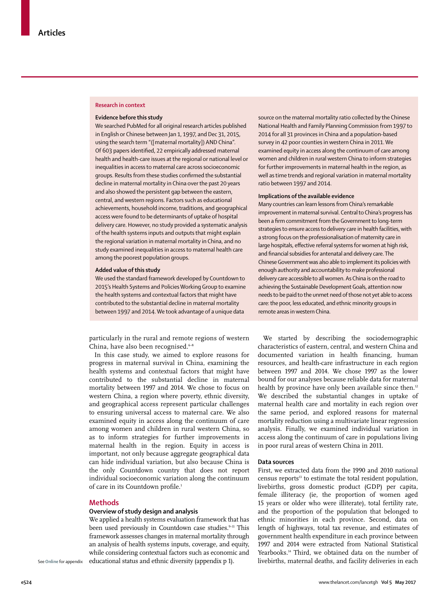#### **Research in context**

## **Evidence before this study**

We searched PubMed for all original research articles published in English or Chinese between Jan 1, 1997, and Dec 31, 2015, using the search term "([maternal mortality]) AND China". Of 603 papers identified, 22 empirically addressed maternal health and health-care issues at the regional or national level or inequalities in access to maternal care across socioeconomic groups. Results from these studies confirmed the substantial decline in maternal mortality in China over the past 20 years and also showed the persistent gap between the eastern, central, and western regions. Factors such as educational achievements, household income, traditions, and geographical access were found to be determinants of uptake of hospital delivery care. However, no study provided a systematic analysis of the health systems inputs and outputs that might explain the regional variation in maternal mortality in China, and no study examined inequalities in access to maternal health care among the poorest population groups.

## **Added value of this study**

We used the standard framework developed by Countdown to 2015's Health Systems and Policies Working Group to examine the health systems and contextual factors that might have contributed to the substantial decline in maternal mortality between 1997 and 2014. We took advantage of a unique data

particularly in the rural and remote regions of western China, have also been recognised. $6-8$ 

In this case study, we aimed to explore reasons for progress in maternal survival in China, examining the health systems and contextual factors that might have contributed to the substantial decline in maternal mortality between 1997 and 2014. We chose to focus on western China, a region where poverty, ethnic diversity, and geographical access represent particular challenges to ensuring universal access to maternal care. We also examined equity in access along the continuum of care among women and children in rural western China, so as to inform strategies for further improvements in maternal health in the region. Equity in access is important, not only because aggregate geographical data can hide individual variation, but also because China is the only Countdown country that does not report individual socioeconomic variation along the continuum of care in its Countdown profile.<sup>1</sup>

## **Methods**

## **Overview of study design and analysis**

We applied a health systems evaluation framework that has been used previously in Countdown case studies.<sup>9-11</sup> This framework assesses changes in maternal mortality through an analysis of health systems inputs, coverage, and equity, while considering contextual factors such as economic and educational status and ethnic diversity (appendix p 1).

source on the maternal mortality ratio collected by the Chinese National Health and Family Planning Commission from 1997 to 2014 for all 31 provinces in China and a population-based survey in 42 poor counties in western China in 2011. We examined equity in access along the continuum of care among women and children in rural western China to inform strategies for further improvements in maternal health in the region, as well as time trends and regional variation in maternal mortality ratio between 1997 and 2014.

## **Implications of the available evidence**

Many countries can learn lessons from China's remarkable improvement in maternal survival. Central to China's progress has been a firm commitment from the Government to long-term strategies to ensure access to delivery care in health facilities, with a strong focus on the professionalisation of maternity care in large hospitals, effective referral systems for women at high risk, and financial subsidies for antenatal and delivery care. The Chinese Government was also able to implement its policies with enough authority and accountability to make professional delivery care accessible to all women. As China is on the road to achieving the Sustainable Development Goals, attention now needs to be paid to the unmet need of those not yet able to access care: the poor, less educated, and ethnic minority groups in remote areas in western China.

We started by describing the sociodemographic characteristics of eastern, central, and western China and documented variation in health financing, human resources, and health-care infrastructure in each region between 1997 and 2014. We chose 1997 as the lower bound for our analyses because reliable data for maternal health by province have only been available since then.<sup>12</sup> We described the substantial changes in uptake of maternal health care and mortality in each region over the same period, and explored reasons for maternal mortality reduction using a multivariate linear regression analysis. Finally, we examined individual variation in access along the continuum of care in populations living in poor rural areas of western China in 2011.

## **Data sources**

First, we extracted data from the 1990 and 2010 national census reports<sup>13</sup> to estimate the total resident population, livebirths, gross domestic product (GDP) per capita, female illiteracy (ie, the proportion of women aged 15 years or older who were illiterate), total fertility rate, and the proportion of the population that belonged to ethnic minorities in each province. Second, data on length of highways, total tax revenue, and estimates of government health expenditure in each province between 1997 and 2014 were extracted from National Statistical Yearbooks.<sup>14</sup> Third, we obtained data on the number of See Online for appendix educational status and ethnic diversity (appendix p 1). livebirths, maternal deaths, and facility deliveries in each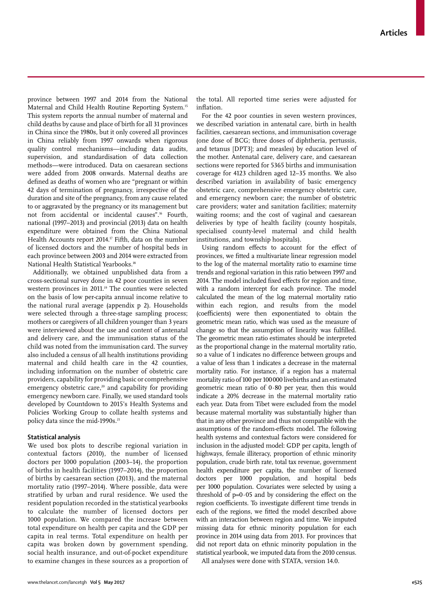province between 1997 and 2014 from the National Maternal and Child Health Routine Reporting System.15 This system reports the annual number of maternal and child deaths by cause and place of birth for all 31 provinces in China since the 1980s, but it only covered all provinces in China reliably from 1997 onwards when rigorous quality control mechanisms—including data audits, supervision, and standardisation of data collection methods—were introduced. Data on caesarean sections were added from 2008 onwards. Maternal deaths are defined as deaths of women who are "pregnant or within 42 days of termination of pregnancy, irrespective of the duration and site of the pregnancy, from any cause related to or aggravated by the pregnancy or its management but not from accidental or incidental causes".16 Fourth, national (1997–2013) and provincial (2013) data on health expenditure were obtained from the China National Health Accounts report 2014.<sup>17</sup> Fifth, data on the number of licensed doctors and the number of hospital beds in each province between 2003 and 2014 were extracted from National Health Statistical Yearbooks.18

Additionally, we obtained unpublished data from a cross-sectional survey done in 42 poor counties in seven western provinces in 2011.<sup>19</sup> The counties were selected on the basis of low per-capita annual income relative to the national rural average (appendix p 2). Households were selected through a three-stage sampling process; mothers or caregivers of all children younger than 3 years were interviewed about the use and content of antenatal and delivery care, and the immunisation status of the child was noted from the immunisation card. The survey also included a census of all health institutions providing maternal and child health care in the 42 counties, including information on the number of obstetric care providers, capability for providing basic or comprehensive emergency obstetric care,<sup>20</sup> and capability for providing emergency newborn care. Finally, we used standard tools developed by Countdown to 2015's Health Systems and Policies Working Group to collate health systems and policy data since the mid-1990s.<sup>21</sup>

# **Statistical analysis**

We used box plots to describe regional variation in contextual factors (2010), the number of licensed doctors per 1000 population (2003–14), the proportion of births in health facilities (1997–2014), the proportion of births by caesarean section (2013), and the maternal mortality ratio (1997–2014). Where possible, data were stratified by urban and rural residence. We used the resident population recorded in the statistical yearbooks to calculate the number of licensed doctors per 1000 population. We compared the increase between total expenditure on health per capita and the GDP per capita in real terms. Total expenditure on health per capita was broken down by government spending, social health insurance, and out-of-pocket expenditure to examine changes in these sources as a proportion of the total. All reported time series were adjusted for inflation.

For the 42 poor counties in seven western provinces, we described variation in antenatal care, birth in health facilities, caesarean sections, and immunisation coverage (one dose of BCG; three doses of diphtheria, pertussis, and tetanus [DPT3]; and measles) by education level of the mother. Antenatal care, delivery care, and caesarean sections were reported for 5365 births and immunisation coverage for 4123 children aged 12–35 months. We also described variation in availability of basic emergency obstetric care, comprehensive emergency obstetric care, and emergency newborn care; the number of obstetric care providers; water and sanitation facilities; maternity waiting rooms; and the cost of vaginal and caesarean deliveries by type of health facility (county hospitals, specialised county-level maternal and child health institutions, and township hospitals).

Using random effects to account for the effect of provinces, we fitted a multivariate linear regression model to the log of the maternal mortality ratio to examine time trends and regional variation in this ratio between 1997 and 2014. The model included fixed effects for region and time, with a random intercept for each province. The model calculated the mean of the log maternal mortality ratio within each region, and results from the model (coefficients) were then exponentiated to obtain the geometric mean ratio, which was used as the measure of change so that the assumption of linearity was fulfilled. The geometric mean ratio estimates should be interpreted as the proportional change in the maternal mortality ratio, so a value of 1 indicates no difference between groups and a value of less than 1 indicates a decrease in the maternal mortality ratio. For instance, if a region has a maternal mortality ratio of 100 per 100000 livebirths and an estimated geometric mean ratio of 0·80 per year, then this would indicate a 20% decrease in the maternal mortality ratio each year. Data from Tibet were excluded from the model because maternal mortality was substantially higher than that in any other province and thus not compatible with the assumptions of the random-effects model. The following health systems and contextual factors were considered for inclusion in the adjusted model: GDP per capita, length of highways, female illiteracy, proportion of ethnic minority population, crude birth rate, total tax revenue, government health expenditure per capita, the number of licensed doctors per 1000 population, and hospital beds per 1000 population. Covariates were selected by using a threshold of  $p=0.05$  and by considering the effect on the region coefficients. To investigate different time trends in each of the regions, we fitted the model described above with an interaction between region and time. We imputed missing data for ethnic minority population for each province in 2014 using data from 2013. For provinces that did not report data on ethnic minority population in the statistical yearbook, we imputed data from the 2010 census.

All analyses were done with STATA, version 14.0.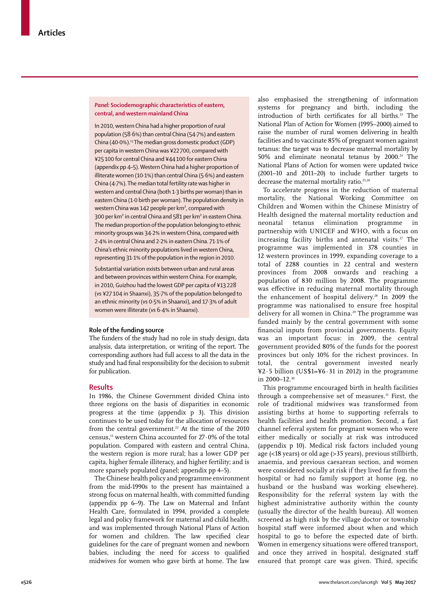# *Panel:* **Sociodemographic characteristics of eastern, central, and western mainland China**

In 2010, western China had a higher proportion of rural population (58·6%) than central China (54·7%) and eastern China (40.0%).<sup>13</sup> The median gross domestic product (GDP) per capita in western China was ¥22700, compared with ¥25100 for central China and ¥44100 for eastern China (appendix pp 4–5). Western China had a higher proportion of illiterate women (10·1%) than central China (5·6%) and eastern China (4·7%). The median total fertility rate was higher in western and central China (both 1·3 births per woman) than in eastern China (1·0 birth per woman). The population density in western China was 142 people per km², compared with 300 per km² in central China and 581 per km² in eastern China. The median proportion of the population belonging to ethnic minority groups was 34·2% in western China, compared with 2·4% in central China and 2·2% in eastern China. 71·1% of China's ethnic minority populations lived in western China, representing 31·1% of the population in the region in 2010.

Substantial variation exists between urban and rural areas and between provinces within western China. For example, in 2010, Guizhou had the lowest GDP per capita of ¥13 228 (*vs* ¥27 104 in Shaanxi), 35·7% of the population belonged to an ethnic minority (*vs* 0·5% in Shaanxi), and 17·3% of adult women were illiterate (*vs* 6·4% in Shaanxi).

# **Role of the funding source**

The funders of the study had no role in study design, data analysis, data interpretation, or writing of the report. The corresponding authors had full access to all the data in the study and had final responsibility for the decision to submit for publication.

# **Results**

In 1986, the Chinese Government divided China into three regions on the basis of disparities in economic progress at the time (appendix p 3). This division continues to be used today for the allocation of resources from the central government.<sup>22</sup> At the time of the  $2010$ census,13 western China accounted for 27·0% of the total population. Compared with eastern and central China, the western region is more rural; has a lower GDP per capita, higher female illiteracy, and higher fertility; and is more sparsely populated (panel; appendix pp 4–5).

The Chinese health policy and programme environment from the mid-1990s to the present has maintained a strong focus on maternal health, with committed funding (appendix pp 6–9). The Law on Maternal and Infant Health Care, formulated in 1994, provided a complete legal and policy framework for maternal and child health, and was implemented through National Plans of Action for women and children. The law specified clear guidelines for the care of pregnant women and newborn babies, including the need for access to qualified midwives for women who gave birth at home. The law also emphasised the strengthening of information systems for pregnancy and birth, including the introduction of birth certificates for all births.<sup>23</sup> The National Plan of Action for Women (1995–2000) aimed to raise the number of rural women delivering in health facilities and to vaccinate 85% of pregnant women against tetanus: the target was to decrease maternal mortality by 50% and eliminate neonatal tetanus by  $2000.^{24}$  The National Plans of Action for women were updated twice (2001–10 and 2011–20) to include further targets to decrease the maternal mortality ratio.<sup>25,26</sup>

To accelerate progress in the reduction of maternal mortality, the National Working Committee on Children and Women within the Chinese Ministry of Health designed the maternal mortality reduction and neonatal tetanus elimination programme in partnership with UNICEF and WHO, with a focus on increasing facility births and antenatal visits.<sup>27</sup> The programme was implemented in 378 counties in 12 western provinces in 1999, expanding coverage to a total of 2288 counties in 22 central and western provinces from 2008 onwards and reaching a population of 830 million by 2008. The programme was effective in reducing maternal mortality through the enhancement of hospital delivery.<sup>28</sup> In 2009 the programme was nationalised to ensure free hospital delivery for all women in China.<sup>29</sup> The programme was funded mainly by the central government with some financial inputs from provincial governments. Equity was an important focus: in 2009, the central government provided 80% of the funds for the poorest provinces but only 10% for the richest provinces. In total, the central government invested nearly  $\text{\texttt{Y2}}\cdot$  5 billion (US\$1= $\text{\texttt{Y6}}\cdot$ 31 in 2012) in the programme in 2000–12.30

This programme encouraged birth in health facilities through a comprehensive set of measures.<sup>31</sup> First, the role of traditional midwives was transformed from assisting births at home to supporting referrals to health facilities and health promotion. Second, a fast channel referral system for pregnant women who were either medically or socially at risk was introduced (appendix p 10). Medical risk factors included young age (<18 years) or old age (>35 years), previous stillbirth, anaemia, and previous caesarean section, and women were considered socially at risk if they lived far from the hospital or had no family support at home (eg, no husband or the husband was working elsewhere). Responsibility for the referral system lay with the highest administrative authority within the county (usually the director of the health bureau). All women screened as high risk by the village doctor or township hospital staff were informed about when and which hospital to go to before the expected date of birth. Women in emergency situations were offered transport, and once they arrived in hospital, designated staff ensured that prompt care was given. Third, specific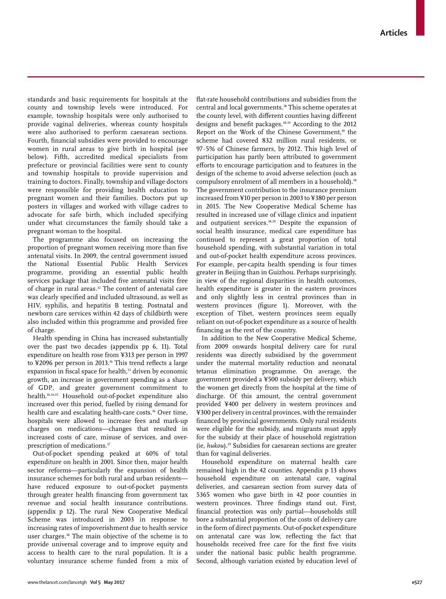standards and basic requirements for hospitals at the county and township levels were introduced. For example, township hospitals were only authorised to provide vaginal deliveries, whereas county hospitals were also authorised to perform caesarean sections. Fourth, financial subsidies were provided to encourage women in rural areas to give birth in hospital (see below). Fifth, accredited medical specialists from prefecture or provincial facilities were sent to county and township hospitals to provide supervision and training to doctors. Finally, township and village doctors were responsible for providing health education to pregnant women and their families. Doctors put up posters in villages and worked with village cadres to advocate for safe birth, which included specifying under what circumstances the family should take a pregnant woman to the hospital.

The programme also focused on increasing the proportion of pregnant women receiving more than five antenatal visits. In 2009, the central government issued the National Essential Public Health Services programme, providing an essential public health services package that included five antenatal visits free of charge in rural areas.<sup>32</sup> The content of antenatal care was clearly specified and included ultrasound, as well as HIV, syphilis, and hepatitis B testing. Postnatal and newborn care services within 42 days of childbirth were also included within this programme and provided free of charge.

Health spending in China has increased substantially over the past two decades (appendix pp 6, 11). Total expenditure on health rose from ¥313 per person in 1997 to ¥2096 per person in 2013.<sup>16</sup> This trend reflects a large expansion in fiscal space for health,<sup>33</sup> driven by economic growth, an increase in government spending as a share of GDP, and greater government commitment to health.16,34,35 Household out-of-pocket expenditure also increased over this period, fuelled by rising demand for health care and escalating health-care costs.<sup>36</sup> Over time, hospitals were allowed to increase fees and mark-up charges on medications—changes that resulted in increased costs of care, misuse of services, and overprescription of medications.<sup>37</sup>

Out-of-pocket spending peaked at 60% of total expenditure on health in 2001. Since then, major health sector reforms—particularly the expansion of health insurance schemes for both rural and urban residents have reduced exposure to out-of-pocket payments through greater health financing from government tax revenue and social health insurance contributions. (appendix p 12). The rural New Cooperative Medical Scheme was introduced in 2003 in response to increasing rates of impoverishment due to health service user charges.<sup>38</sup> The main objective of the scheme is to provide universal coverage and to improve equity and access to health care to the rural population. It is a voluntary insurance scheme funded from a mix of flat-rate household contributions and subsidies from the central and local governments.<sup>38</sup> This scheme operates at the county level, with different counties having different designs and benefit packages.<sup>38,39</sup> According to the 2012 Report on the Work of the Chinese Government,<sup>40</sup> the scheme had covered 832 million rural residents, or 97·5% of Chinese farmers, by 2012. This high level of participation has partly been attributed to government efforts to encourage participation and to features in the design of the scheme to avoid adverse selection (such as compulsory enrolment of all members in a household).<sup>38</sup> The government contribution to the insurance premium increased from ¥10 per person in 2003 to ¥380 per person in 2015. The New Cooperative Medical Scheme has resulted in increased use of village clinics and inpatient and outpatient services.<sup>38,39</sup> Despite the expansion of social health insurance, medical care expenditure has continued to represent a great proportion of total household spending, with substantial variation in total and out-of-pocket health expenditure across provinces. For example, per-capita health spending is four times greater in Beijing than in Guizhou. Perhaps surprisingly, in view of the regional disparities in health outcomes, health expenditure is greater in the eastern provinces and only slightly less in central provinces than in western provinces (figure 1). Moreover, with the exception of Tibet, western provinces seem equally reliant on out-of-pocket expenditure as a source of health financing as the rest of the country.

In addition to the New Cooperative Medical Scheme, from 2009 onwards hospital delivery care for rural residents was directly subsidised by the government under the maternal mortality reduction and neonatal tetanus elimination programme. On average, the government provided a ¥500 subsidy per delivery, which the women get directly from the hospital at the time of discharge. Of this amount, the central government provided ¥400 per delivery in western provinces and ¥300 per delivery in central provinces, with the remainder financed by provincial governments. Only rural residents were eligible for the subsidy, and migrants must apply for the subsidy at their place of household registration (ie, *hukou*).29 Subsidies for caesarean sections are greater than for vaginal deliveries.

Household expenditure on maternal health care remained high in the 42 counties. Appendix p 13 shows household expenditure on antenatal care, vaginal deliveries, and caesarean section from survey data of 5365 women who gave birth in 42 poor counties in western provinces. Three findings stand out. First, financial protection was only partial—households still bore a substantial proportion of the costs of delivery care in the form of direct payments. Out-of-pocket expenditure on antenatal care was low, reflecting the fact that households received free care for the first five visits under the national basic public health programme. Second, although variation existed by education level of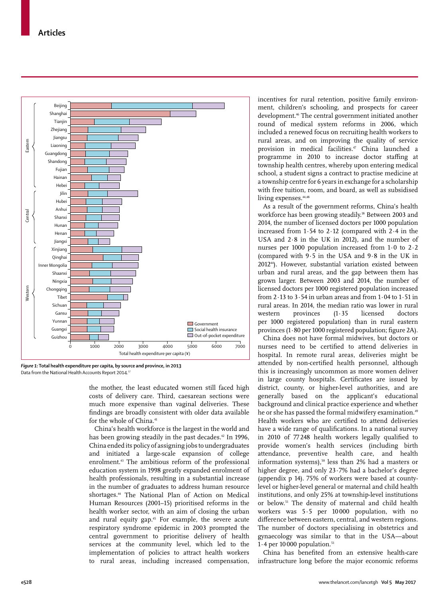

*Figure 1:* **Total health expenditure per capita, by source and province, in 2013** Data from the National Health Accounts Report 2014.<sup>17</sup>

the mother, the least educated women still faced high costs of delivery care. Third, caesarean sections were much more expensive than vaginal deliveries. These findings are broadly consistent with older data available for the whole of China.<sup>41</sup>

China's health workforce is the largest in the world and has been growing steadily in the past decades.<sup>42</sup> In 1996, China ended its policy of assigning jobs to undergraduates and initiated a large-scale expansion of college enrolment.<sup>43</sup> The ambitious reform of the professional education system in 1998 greatly expanded enrolment of health professionals, resulting in a substantial increase in the number of graduates to address human resource shortages.44 The National Plan of Action on Medical Human Resources (2001–15) prioritised reforms in the health worker sector, with an aim of closing the urban and rural equity gap.<sup>45</sup> For example, the severe acute respiratory syndrome epidemic in 2003 prompted the central government to prioritise delivery of health services at the community level, which led to the implementation of policies to attract health workers to rural areas, including increased compensation,

incentives for rural retention, positive family environment, children's schooling, and prospects for career development.46 The central government initiated another round of medical system reforms in 2006, which included a renewed focus on recruiting health workers to rural areas, and on improving the quality of service provision in medical facilities.<sup>47</sup> China launched a programme in 2010 to increase doctor staffing at township health centres, whereby upon entering medical school, a student signs a contract to practise medicine at a township centre for 6 years in exchange for a scholarship with free tuition, room, and board, as well as subsidised living expenses.<sup>44,48</sup>

As a result of the government reforms, China's health workforce has been growing steadily.<sup>18</sup> Between 2003 and 2014, the number of licensed doctors per 1000 population increased from 1·54 to 2·12 (compared with 2·4 in the USA and 2·8 in the UK in 2012), and the number of nurses per 1000 population increased from 1·0 to 2·2 (compared with 9·5 in the USA and 9·8 in the UK in 2012<sup>4</sup>). However, substantial variation existed between urban and rural areas, and the gap between them has grown larger. Between 2003 and 2014, the number of licensed doctors per 1000 registered population increased from 2 $\cdot$  13 to 3 $\cdot$  54 in urban areas and from 1 $\cdot$ 04 to 1 $\cdot$  51 in rural areas. In 2014, the median ratio was lower in rural western provinces (1·35 licensed doctors per 1000 registered population) than in rural eastern provinces (1·80 per 1000 registered population; figure 2A).

China does not have formal midwives, but doctors or nurses need to be certified to attend deliveries in hospital. In remote rural areas, deliveries might be attended by non-certified health personnel, although this is increasingly uncommon as more women deliver in large county hospitals. Certificates are issued by district, county, or higher-level authorities, and are generally based on the applicant's educational background and clinical practice experience and whether he or she has passed the formal midwifery examination.<sup>49</sup> Health workers who are certified to attend deliveries have a wide range of qualifications. In a national survey in 2010 of 77 248 health workers legally qualified to provide women's health services (including birth attendance, preventive health care, and health information systems), $50$  less than 2% had a masters or higher degree, and only 23·7% had a bachelor's degree (appendix p 14). 75% of workers were based at countylevel or higher-level general or maternal and child health institutions, and only 25% at township-level institutions or below.51 The density of maternal and child health workers was 5·5 per 10 000 population, with no difference between eastern, central, and western regions. The number of doctors specialising in obstetrics and gynaecology was similar to that in the USA—about  $1·4$  per 10 000 population.<sup>51</sup>

China has benefited from an extensive health-care infrastructure long before the major economic reforms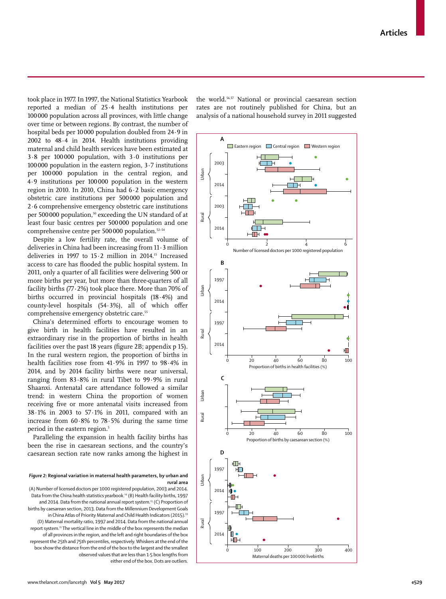took place in 1977. In 1997, the National Statistics Yearbook reported a median of 25·4 health institutions per 100000 population across all provinces, with little change over time or between regions. By contrast, the number of hospital beds per 10000 population doubled from 24·9 in 2002 to 48·4 in 2014. Health institutions providing maternal and child health services have been estimated at 3·8 per 100000 population, with 3·0 institutions per 100000 population in the eastern region, 3·7 institutions per 100000 population in the central region, and 4·9 institutions per 100000 population in the western region in 2010. In 2010, China had 6·2 basic emergency obstetric care institutions per 500000 population and 2·6 comprehensive emergency obstetric care institutions per 500000 population,<sup>50</sup> exceeding the UN standard of at least four basic centres per 500000 population and one comprehensive centre per 500000 population.52–54

Despite a low fertility rate, the overall volume of deliveries in China had been increasing from 11·3 million deliveries in 1997 to  $15·2$  million in 2014.<sup>15</sup> Increased access to care has flooded the public hospital system. In 2011, only a quarter of all facilities were delivering 500 or more births per year, but more than three-quarters of all facility births  $(77.2%)$  took place there. More than 70% of births occurred in provincial hospitals (18·4%) and county-level hospitals (54·3%), all of which offer comprehensive emergency obstetric care.<sup>55</sup>

China's determined efforts to encourage women to give birth in health facilities have resulted in an extraordinary rise in the proportion of births in health facilities over the past 18 years (figure 2B; appendix p 15). In the rural western region, the proportion of births in health facilities rose from 41·9% in 1997 to 98·4% in 2014, and by 2014 facility births were near universal, ranging from 83·8% in rural Tibet to 99·9% in rural Shaanxi. Antenatal care attendance followed a similar trend: in western China the proportion of women receiving five or more antenatal visits increased from 38·1% in 2003 to 57·1% in 2011, compared with an increase from 60·8% to 78·5% during the same time period in the eastern region.<sup>5</sup>

Paralleling the expansion in health facility births has been the rise in caesarean sections, and the country's caesarean section rate now ranks among the highest in

*Figure 2:* **Regional variation in maternal health parameters, by urban and rural area**

(A) Number of licensed doctors per 1000 registered population, 2003 and 2014. Data from the China health statistics yearbook.<sup>14</sup> (B) Health facility births, 1997 and 2014. Data from the national annual report system.<sup>15</sup> (C) Proportion of births by caesarean section, 2013. Data from the Millennium Development Goals in China Atlas of Priority Maternal and Child Health Indicators (2015).<sup>59</sup> (D) Maternal mortality ratio, 1997 and 2014. Data from the national annual report system.15 The vertical line in the middle of the box represents the median of all provinces in the region, and the left and right boundaries of the box represent the 25th and 75th percentiles, respectively. Whiskers at the end of the box show the distance from the end of the box to the largest and the smallest observed values that are less than 1·5 box lengths from either end of the box. Dots are outliers. the world.56,57 National or provincial caesarean section rates are not routinely published for China, but an analysis of a national household survey in 2011 suggested

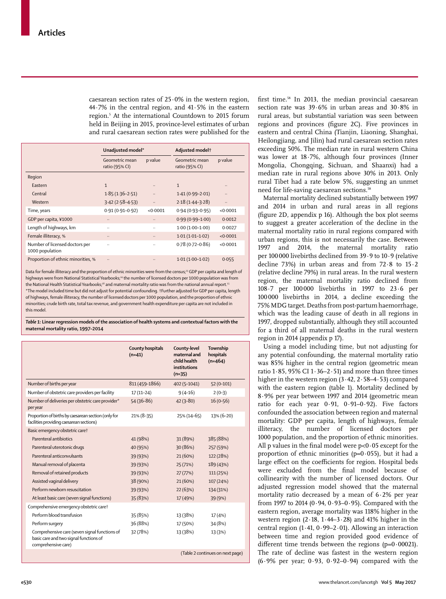caesarean section rates of  $25.0\%$  in the western region, 44·7% in the central region, and 41·5% in the eastern region.5 At the international Countdown to 2015 forum held in Beijing in 2015, province-level estimates of urban and rural caesarean section rates were published for the

|                                                   | Unadjusted model*                |         | Adjusted model <sup>+</sup>      |                      |
|---------------------------------------------------|----------------------------------|---------|----------------------------------|----------------------|
|                                                   | Geometric mean<br>ratio (95% CI) | p value | Geometric mean<br>ratio (95% CI) | p value              |
| Region                                            |                                  |         |                                  |                      |
| Eastern                                           | $\mathbf{1}$                     |         | $\mathbf{1}$                     |                      |
| Central                                           | $1.85(1.36 - 2.51)$              |         | $1.41(0.99 - 2.01)$              | $\ddot{\phantom{0}}$ |
| Western                                           | $3.42(2.58 - 4.53)$              |         | $2.18(1.44 - 3.28)$              | $\ddotsc$            |
| Time, years                                       | $0.91(0.91 - 0.92)$              | <0.0001 | $0.94(0.93 - 0.95)$              | < 0.0001             |
| GDP per capita, ¥1000                             | $\ldots$                         |         | $0.99(0.99 - 1.00)$              | 0.0012               |
| Length of highways, km                            |                                  |         | $1.00(1.00-1.00)$                | 0.0027               |
| Female illiteracy, %                              |                                  |         | $1.01(1.01-1.02)$                | < 0.0001             |
| Number of licensed doctors per<br>1000 population |                                  |         | $0.78(0.72 - 0.86)$              | < 0.0001             |
| Proportion of ethnic minorities, %                |                                  |         | $1.01(1.00-1.02)$                | 0.055                |

Data for female illiteracy and the proportion of ethnic minorities were from the census;13 GDP per capita and length of highways were from National Statistical Yearbooks;<sup>14</sup> the number of licensed doctors per 1000 population was from the National Health Statistical Yearbooks;<sup>18</sup> and maternal mortality ratio was from the national annual report.<sup>15</sup> \*The model included time but did not adjust for potential confounding. †Further adjusted for GDP per capita, length of highways, female illiteracy, the number of licensed doctors per 1000 population, and the proportion of ethnic minorities; crude birth rate, total tax revenue, and government health expenditure per capita are not included in this model.

*Table 1:* **Linear regression models of the association of health systems and contextual factors with the maternal mortality ratio, 1997–2014**

|                                                                                                                | County hospitals<br>$(n=41)$ | County-level<br>maternal and<br>child health<br>institutions<br>$(n=35)$ | <b>Township</b><br>hospitals<br>$(n=464)$ |
|----------------------------------------------------------------------------------------------------------------|------------------------------|--------------------------------------------------------------------------|-------------------------------------------|
| Number of births per year                                                                                      | 811 (459-1866)               | 402 (5-1041)                                                             | $52(0-101)$                               |
| Number of obstetric care providers per facility                                                                | $17(11-24)$                  | $9(4-16)$                                                                | $2(0-3)$                                  |
| Number of deliveries per obstetric care provider*<br>per year                                                  | $54(36-86)$                  | $42(3 - 80)$                                                             | $16(0-56)$                                |
| Proportion of births by caesarean section (only for<br>facilities providing caesarean sections)                | $21\% (8-35)$                | 25% (14-65)                                                              | 13% (6-20)                                |
| Basic emergency obstetric caret                                                                                |                              |                                                                          |                                           |
| Parenteral antibiotics                                                                                         | 41 (98%)                     | 31 (89%)                                                                 | 385 (88%)                                 |
| Parenteral uterotonic drugs                                                                                    | 40 (95%)                     | 30 (86%)                                                                 | 257 (59%)                                 |
| Parenteral anticonvulsants                                                                                     | 39 (93%)                     | 21 (60%)                                                                 | 122 (28%)                                 |
| Manual removal of placenta                                                                                     | 39 (93%)                     | 25 (71%)                                                                 | 189 (43%)                                 |
| Removal of retained products                                                                                   | 39 (93%)                     | 27 (77%)                                                                 | 111 (25%)                                 |
| Assisted vaginal delivery                                                                                      | 38 (90%)                     | 21 (60%)                                                                 | 107 (24%)                                 |
| Perform newborn resuscitation                                                                                  | 39 (93%)                     | 22 (63%)                                                                 | 134 (31%)                                 |
| At least basic care (seven signal functions)                                                                   | 35 (83%)                     | 17 (49%)                                                                 | 39 (9%)                                   |
| Comprehensive emergency obstetric caret                                                                        |                              |                                                                          |                                           |
| Perform blood transfusion                                                                                      | 35 (85%)                     | 13 (38%)                                                                 | 17 (4%)                                   |
| Perform surgery                                                                                                | 36 (88%)                     | 17 (50%)                                                                 | 34 (8%)                                   |
| Comprehensive care (seven signal functions of<br>basic care and two signal functions of<br>comprehensive care) | 32 (78%)                     | 13 (38%)                                                                 | 13 (3%)                                   |
|                                                                                                                |                              |                                                                          | (Table 2 continues on next page)          |

first time.<sup>58</sup> In 2013, the median provincial caesarean section rate was 39·6% in urban areas and 30·8% in rural areas, but substantial variation was seen between regions and provinces (figure 2C). Five provinces in eastern and central China (Tianjin, Liaoning, Shanghai, Heilongjiang, and Jilin) had rural caesarean section rates exceeding 50%. The median rate in rural western China was lower at 18·7%, although four provinces (Inner Mongolia, Chongqing, Sichuan, and Shaanxi) had a median rate in rural regions above 30% in 2013. Only rural Tibet had a rate below 5%, suggesting an unmet need for life-saving caesarean sections.<sup>58</sup>

Maternal mortality declined substantially between 1997 and 2014 in urban and rural areas in all regions (figure 2D, appendix p 16). Although the box plot seems to suggest a greater acceleration of the decline in the maternal mortality ratio in rural regions compared with urban regions, this is not necessarily the case. Between 1997 and 2014, the maternal mortality ratio per 100000 livebirths declined from 39·9 to 10·9 (relative decline 73%) in urban areas and from 72·8 to 15·2 (relative decline 79%) in rural areas. In the rural western region, the maternal mortality ratio declined from 108·7 per 100 000 livebirths in 1997 to 23·6 per 100000 livebirths in 2014, a decline exceeding the 75% MDG target. Deaths from post-partum haemorrhage, which was the leading cause of death in all regions in 1997, dropped substantially, although they still accounted for a third of all maternal deaths in the rural western region in 2014 (appendix p 17).

Using a model including time, but not adjusting for any potential confounding, the maternal mortality ratio was 85% higher in the central region (geometric mean ratio 1 $\cdot$ 85, 95% CI 1 $\cdot$ 36-2 $\cdot$ 51) and more than three times higher in the western region (3.42, 2.58–4.53) compared with the eastern region (table 1). Mortality declined by 8·9% per year between 1997 and 2014 (geometric mean ratio for each year 0·91, 0·91–0·92). Five factors confounded the association between region and maternal mortality: GDP per capita, length of highways, female illiteracy, the number of licensed doctors per 1000 population, and the proportion of ethnic minorities. All p values in the final model were  $p<0.05$  except for the proportion of ethnic minorities ( $p=0.055$ ), but it had a large effect on the coefficients for region. Hospital beds were excluded from the final model because of collinearity with the number of licensed doctors. Our adjusted regression model showed that the maternal mortality ratio decreased by a mean of 6·2% per year from 1997 to 2014 (0·94, 0·93–0·95). Compared with the eastern region, average mortality was 118% higher in the western region  $(2.18, 1.44-3.28)$  and 41% higher in the central region (1·41, 0·99–2·01). Allowing an interaction between time and region provided good evidence of different time trends between the regions (p=0·00021). The rate of decline was fastest in the western region (6·9% per year; 0·93, 0·92–0·94) compared with the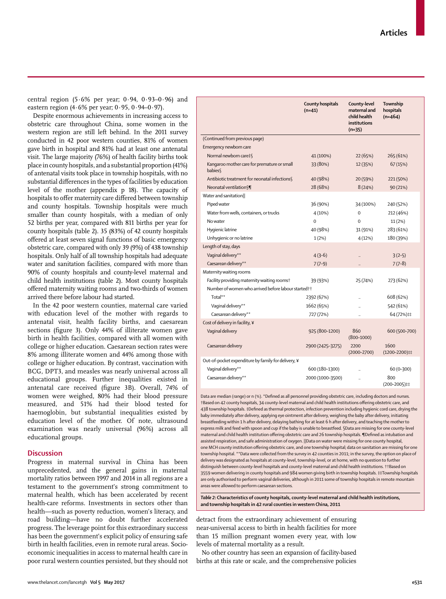central region  $(5.6\%$  per year;  $0.94$ ,  $0.93-0.96$ ) and eastern region (4·6% per year; 0·95, 0·94–0·97).

Despite enormous achievements in increasing access to obstetric care throughout China, some women in the western region are still left behind. In the 2011 survey conducted in 42 poor western counties, 81% of women gave birth in hospital and 81% had at least one antenatal visit. The large majority (76%) of health facility births took place in county hospitals, and a substantial proportion (41%) of antenatal visits took place in township hospitals, with no substantial differences in the types of facilities by education level of the mother (appendix p 18). The capacity of hospitals to offer maternity care differed between township and county hospitals. Township hospitals were much smaller than county hospitals, with a median of only 52 births per year, compared with 811 births per year for county hospitals (table 2). 35 (83%) of 42 county hospitals offered at least seven signal functions of basic emergency obstetric care, compared with only 39 (9%) of 438 township hospitals. Only half of all township hospitals had adequate water and sanitation facilities, compared with more than 90% of county hospitals and county-level maternal and child health institutions (table 2). Most county hospitals offered maternity waiting rooms and two-thirds of women arrived there before labour had started.

In the 42 poor western counties, maternal care varied with education level of the mother with regards to antenatal visit, health facility births, and caesarean sections (figure 3). Only 44% of illiterate women gave birth in health facilities, compared with all women with college or higher education. Caesarean section rates were 8% among illiterate women and 44% among those with college or higher education. By contrast, vaccination with BCG, DPT3, and measles was nearly universal across all educational groups. Further inequalities existed in antenatal care received (figure 3B). Overall, 74% of women were weighed, 80% had their blood pressure measured, and 51% had their blood tested for haemoglobin, but substantial inequalities existed by education level of the mother. Of note, ultrasound examination was nearly universal (96%) across all educational groups.

# **Discussion**

Progress in maternal survival in China has been unprecedented, and the general gains in maternal mortality ratios between 1997 and 2014 in all regions are a testament to the government's strong commitment to maternal health, which has been accelerated by recent health-care reforms. Investments in sectors other than health—such as poverty reduction, women's literacy, and road building—have no doubt further accelerated progress. The leverage point for this extraordinary success has been the government's explicit policy of ensuring safe birth in health facilities, even in remote rural areas. Socioeconomic inequalities in access to maternal health care in poor rural western counties persisted, but they should not

|                                                                 | County hospitals<br>$(n=41)$ | County-level<br>maternal and<br>child health<br>institutions<br>$(n=35)$ | Township<br>hospitals<br>$(n=464)$ |  |  |
|-----------------------------------------------------------------|------------------------------|--------------------------------------------------------------------------|------------------------------------|--|--|
| (Continued from previous page)                                  |                              |                                                                          |                                    |  |  |
| Emergency newborn care                                          |                              |                                                                          |                                    |  |  |
| Normal newborn care‡§                                           | 41 (100%)                    | 22 (65%)                                                                 | 265 (61%)                          |  |  |
| Kangaroo mother care for premature or small<br>babies           | 33 (80%)                     | 12 (35%)                                                                 | 67(15%)                            |  |  |
| Antibiotic treatment for neonatal infections§                   | 40 (98%)                     | 20 (59%)                                                                 | 221 (50%)                          |  |  |
| Neonatal ventilation \[                                         | 28 (68%)                     | 8(24%)                                                                   | 90 (21%)                           |  |  |
| Water and sanitation                                            |                              |                                                                          |                                    |  |  |
| Piped water                                                     | 36 (90%)                     | 34 (100%)                                                                | 240 (52%)                          |  |  |
| Water from wells, containers, or trucks                         | 4(10%)                       | $\Omega$                                                                 | 212 (46%)                          |  |  |
| No water                                                        | $\Omega$                     | $\Omega$                                                                 | 11(2%)                             |  |  |
| Hygienic latrine                                                | 40 (98%)                     | 31 (91%)                                                                 | 283 (61%)                          |  |  |
| Unhygienic or no latrine                                        | 1(2%)                        | 4(12%)                                                                   | 180 (39%)                          |  |  |
| Length of stay, days                                            |                              |                                                                          |                                    |  |  |
| Vaginal delivery**                                              | $4(3-6)$                     |                                                                          | $3(2-5)$                           |  |  |
| Caesarean delivery**                                            | $7(7-9)$                     |                                                                          | $7(7-8)$                           |  |  |
| Maternity waiting rooms                                         |                              |                                                                          |                                    |  |  |
| Facility providing maternity waiting roomst                     | 39 (93%)                     | 25 (74%)                                                                 | 273 (62%)                          |  |  |
| Number of women who arrived before labour started <sup>++</sup> |                              |                                                                          |                                    |  |  |
| Total**                                                         | 2392 (67%)                   |                                                                          | 608 (62%)                          |  |  |
| Vaginal delivery**                                              | 1662 (65%)                   |                                                                          | 542 (61%)                          |  |  |
| Caesarean delivery**                                            | 727 (72%)                    |                                                                          | 64 (72%)##                         |  |  |
| Cost of delivery in facility, ¥                                 |                              |                                                                          |                                    |  |  |
| Vaginal delivery                                                | 925 (800-1200)               | 860<br>$(800 - 1000)$                                                    | 600 (500-700)                      |  |  |
| Caesarean delivery                                              | 2900 (2425-3275)             | 2200<br>$(2000 - 2700)$                                                  | 1600<br>(1200-2200)##              |  |  |
| Out-of-pocket expenditure by family for delivery, ¥             |                              |                                                                          |                                    |  |  |
| Vaginal delivery**                                              | 600 (180-1300)               |                                                                          | $60(0-300)$                        |  |  |
| Caesarean delivery**                                            | 2000 (1000-3500)             |                                                                          | 800<br>$(200 - 2005)$ ##           |  |  |
|                                                                 |                              |                                                                          |                                    |  |  |

Data are median (range) or n (%). \*Defined as all personnel providing obstetric care, including doctors and nurs †Based on 42 county hospitals, 34 county-level maternal and child health institutions offering obstetric care, and 438 township hospitals. ‡Defined as thermal protection, infection prevention including hygienic cord care, drying the baby immediately after delivery, applying eye ointment after delivery, weighing the baby after delivery, initiating breastfeeding within 1 h after delivery, delaying bathing for at least 6 h after delivery, and teaching the mother to express milk and feed with spoon and cup if the baby is unable to breastfeed. §Data are missing for one county-level maternal and child health institution offering obstetric care and 26 township hospitals. ¶Defined as intubation and assisted respiration, and safe administration of oxygen. ||Data on water were missing for one county hospital, one MCH county institution offering obstetric care, and one township hospital; data on sanitation are missing for one township hospital. \*\*Data were collected from the survey in 42 counties in 2011; in the survey, the option on place of delivery was designated as hospitals at county-level, township-level, or at home, with no question to further distinguish between county-level hospitals and county-level maternal and child health institutions. ††Based on 3559 women delivering in county hospitals and 984 women giving birth in township hospitals. ‡‡Township hospitals are only authorised to perform vaginal deliveries, although in 2011 some of township hospitals in remote mountain areas were allowed to perform caesarean sections.

*Table 2:* **Characteristics of county hospitals, county-level maternal and child health institutions, and township hospitals in 42 rural counties in western China, 2011**

detract from the extraordinary achievement of ensuring near-universal access to birth in health facilities for more than 15 million pregnant women every year, with low levels of maternal mortality as a result.

No other country has seen an expansion of facility-based births at this rate or scale, and the comprehensive policies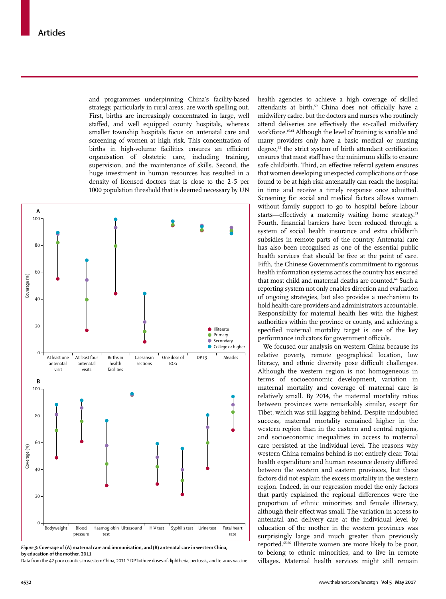and programmes underpinning China's facility-based strategy, particularly in rural areas, are worth spelling out. First, births are increasingly concentrated in large, well staffed, and well equipped county hospitals, whereas smaller township hospitals focus on antenatal care and screening of women at high risk. This concentration of births in high-volume facilities ensures an efficient organisation of obstetric care, including training, supervision, and the maintenance of skills. Second, the huge investment in human resources has resulted in a density of licensed doctors that is close to the 2·5 per 1000 population threshold that is deemed necessary by UN



*Figure 3:* **Coverage of (A) maternal care and immunisation, and (B) antenatal care in western China, by education of the mother, 2011**

Data from the 42 poor counties in western China, 2011.<sup>19</sup> DPT=three doses of diphtheria, pertussis, and tetanus vaccine.

health agencies to achieve a high coverage of skilled attendants at birth.<sup>59</sup> China does not officially have a midwifery cadre, but the doctors and nurses who routinely attend deliveries are effectively the so-called midwifery workforce.<sup>60,61</sup> Although the level of training is variable and many providers only have a basic medical or nursing degree,<sup>62</sup> the strict system of birth attendant certification ensures that most staff have the minimum skills to ensure safe childbirth. Third, an effective referral system ensures that women developing unexpected complications or those found to be at high risk antenatally can reach the hospital in time and receive a timely response once admitted. Screening for social and medical factors allows women without family support to go to hospital before labour starts—effectively a maternity waiting home strategy.<sup>63</sup> Fourth, financial barriers have been reduced through a system of social health insurance and extra childbirth subsidies in remote parts of the country. Antenatal care has also been recognised as one of the essential public health services that should be free at the point of care. Fifth, the Chinese Government's commitment to rigorous health information systems across the country has ensured that most child and maternal deaths are counted.<sup>64</sup> Such a reporting system not only enables direction and evaluation of ongoing strategies, but also provides a mechanism to hold health-care providers and administrators accountable. Responsibility for maternal health lies with the highest authorities within the province or county, and achieving a specified maternal mortality target is one of the key performance indicators for government officials.

We focused our analysis on western China because its relative poverty, remote geographical location, low literacy, and ethnic diversity pose difficult challenges. Although the western region is not homogeneous in terms of socioeconomic development, variation in maternal mortality and coverage of maternal care is relatively small. By 2014, the maternal mortality ratios between provinces were remarkably similar, except for Tibet, which was still lagging behind. Despite undoubted success, maternal mortality remained higher in the western region than in the eastern and central regions, and socioeconomic inequalities in access to maternal care persisted at the individual level. The reasons why western China remains behind is not entirely clear. Total health expenditure and human resource density differed between the western and eastern provinces, but these factors did not explain the excess mortality in the western region. Indeed, in our regression model the only factors that partly explained the regional differences were the proportion of ethnic minorities and female illiteracy, although their effect was small. The variation in access to antenatal and delivery care at the individual level by education of the mother in the western provinces was surprisingly large and much greater than previously reported.65,66 Illiterate women are more likely to be poor, to belong to ethnic minorities, and to live in remote villages. Maternal health services might still remain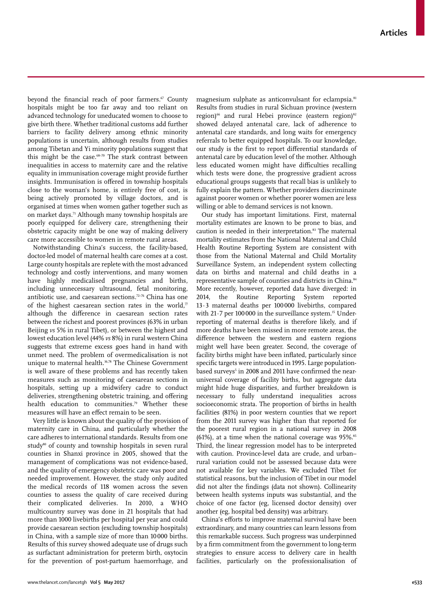beyond the financial reach of poor farmers. $\sigma$  County hospitals might be too far away and too reliant on advanced technology for uneducated women to choose to give birth there. Whether traditional customs add further barriers to facility delivery among ethnic minority populations is uncertain, although results from studies among Tibetan and Yi minority populations suggest that this might be the case.<sup>68-70</sup> The stark contrast between inequalities in access to maternity care and the relative equality in immunisation coverage might provide further insights. Immunisation is offered in township hospitals close to the woman's home, is entirely free of cost, is being actively promoted by village doctors, and is organised at times when women gather together such as on market days.71 Although many township hospitals are poorly equipped for delivery care, strengthening their obstetric capacity might be one way of making delivery care more accessible to women in remote rural areas.

Notwithstanding China's success, the facility-based, doctor-led model of maternal health care comes at a cost. Large county hospitals are replete with the most advanced technology and costly interventions, and many women have highly medicalised pregnancies and births, including unnecessary ultrasound, fetal monitoring, antibiotic use, and caesarean sections.72–76 China has one of the highest caesarean section rates in the world, $\bar{r}$ although the difference in caesarean section rates between the richest and poorest provinces (63% in urban Beijing *vs* 5% in rural Tibet), or between the highest and lowest education level (44% *vs* 8%) in rural western China suggests that extreme excess goes hand in hand with unmet need. The problem of overmedicalisation is not unique to maternal health.<sup>36,78</sup> The Chinese Government is well aware of these problems and has recently taken measures such as monitoring of caesarean sections in hospitals, setting up a midwifery cadre to conduct deliveries, strengthening obstetric training, and offering health education to communities.<sup>79</sup> Whether these measures will have an effect remain to be seen.

Very little is known about the quality of the provision of maternity care in China, and particularly whether the care adheres to international standards. Results from one study<sup>80</sup> of county and township hospitals in seven rural counties in Shanxi province in 2005, showed that the management of complications was not evidence-based, and the quality of emergency obstetric care was poor and needed improvement. However, the study only audited the medical records of 118 women across the seven counties to assess the quality of care received during their complicated deliveries. In 2010, a WHO multicountry survey was done in 21 hospitals that had more than 1000 livebirths per hospital per year and could provide caesarean section (excluding township hospitals) in China, with a sample size of more than 10000 births. Results of this survey showed adequate use of drugs such as surfactant administration for preterm birth, oxytocin for the prevention of post-partum haemorrhage, and magnesium sulphate as anticonvulsant for eclampsia.81 Results from studies in rural Sichuan province (western region)<sup>66</sup> and rural Hebei province (eastern region)<sup>82</sup> showed delayed antenatal care, lack of adherence to antenatal care standards, and long waits for emergency referrals to better equipped hospitals. To our knowledge, our study is the first to report differential standards of antenatal care by education level of the mother. Although less educated women might have difficulties recalling which tests were done, the progressive gradient across educational groups suggests that recall bias is unlikely to fully explain the pattern. Whether providers discriminate against poorer women or whether poorer women are less willing or able to demand services is not known.

Our study has important limitations. First, maternal mortality estimates are known to be prone to bias, and caution is needed in their interpretation.<sup>83</sup> The maternal mortality estimates from the National Maternal and Child Health Routine Reporting System are consistent with those from the National Maternal and Child Mortality Surveillance System, an independent system collecting data on births and maternal and child deaths in a representative sample of counties and districts in China.<sup>84</sup> More recently, however, reported data have diverged: in 2014, the Routine Reporting System reported 13·3 maternal deaths per 100000 livebirths, compared with  $21·7$  per 100 000 in the surveillance system.<sup>15</sup> Underreporting of maternal deaths is therefore likely, and if more deaths have been missed in more remote areas, the difference between the western and eastern regions might well have been greater. Second, the coverage of facility births might have been inflated, particularly since specific targets were introduced in 1995. Large populationbased surveys<sup>5</sup> in 2008 and 2011 have confirmed the nearuniversal coverage of facility births, but aggregate data might hide huge disparities, and further breakdown is necessary to fully understand inequalities across socioeconomic strata. The proportion of births in health facilities (81%) in poor western counties that we report from the 2011 survey was higher than that reported for the poorest rural region in a national survey in 2008 (61%), at a time when the national coverage was  $95\%$ .<sup>85</sup> Third, the linear regression model has to be interpreted with caution. Province-level data are crude, and urban– rural variation could not be assessed because data were not available for key variables. We excluded Tibet for statistical reasons, but the inclusion of Tibet in our model did not alter the findings (data not shown). Collinearity between health systems inputs was substantial, and the choice of one factor (eg, licensed doctor density) over another (eg, hospital bed density) was arbitrary.

China's efforts to improve maternal survival have been extraordinary, and many countries can learn lessons from this remarkable success. Such progress was underpinned by a firm commitment from the government to long-term strategies to ensure access to delivery care in health facilities, particularly on the professionalisation of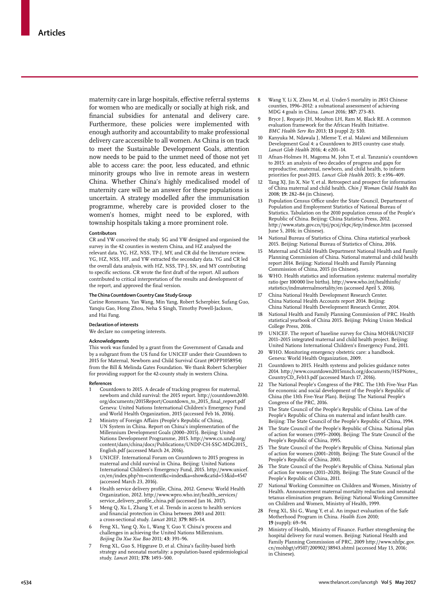maternity care in large hospitals, effective referral systems for women who are medically or socially at high risk, and financial subsidies for antenatal and delivery care. Furthermore, these policies were implemented with enough authority and accountability to make professional delivery care accessible to all women. As China is on track to meet the Sustainable Development Goals, attention now needs to be paid to the unmet need of those not yet able to access care: the poor, less educated, and ethnic minority groups who live in remote areas in western China. Whether China's highly medicalised model of maternity care will be an answer for these populations is uncertain. A strategy modelled after the immunisation programme, whereby care is provided closer to the women's homes, might need to be explored, with township hospitals taking a more prominent role.

#### **Contributors**

CR and YW conceived the study. SG and YW designed and organised the survey in the 42 counties in western China, and HZ analysed the relevant data. YG, HZ, NSS, TP-J, MY, and CR did the literature review. YG, HZ, NSS, HF, and YW extracted the secondary data. YG and CR led the overall data analysis, with HZ, NSS, TP-J, SN, and MY contributing to specific sections. CR wrote the first draft of the report. All authors contributed to critical interpretation of the results and development of the report, and approved the final version.

#### **The China Countdown Country Case Study Group**

Carine Ronsmans, Yan Wang, Min Yang, Robert Scherpbier, Sufang Guo, Yanqiu Gao, Hong Zhou, Neha S Singh, Timothy Powell-Jackson, and Hai Fang.

#### **Declaration of interests**

We declare no competing interests.

## **Acknowledgments**

This work was funded by a grant from the Government of Canada and by a subgrant from the US fund for UNICEF under their Countdown to 2015 for Maternal, Newborn and Child Survival Grant (#OPP1058954) from the Bill & Melinda Gates Foundation. We thank Robert Scherpbier for providing support for the 42-county study in western China.

#### **References**

- Countdown to 2015. A decade of tracking progress for maternal, newborn and child survival: the 2015 report. http://countdown2030. org/documents/2015Report/Countdown\_to\_2015\_final\_report.pdf Geneva: United Nations International Children's Emergency Fund and World Health Organization, 2015 (accessed Feb 16, 2016).
- 2 Ministry of Foreign Affairs (People's Republic of China), UN System in China. Report on China's implementation of the Millennium Development Goals (2000–2015). Beijing: United Nations Development Programme, 2015. http://www.cn.undp.org/ content/dam/china/docs/Publications/UNDP-CH-SSC-MDG2015\_ English.pdf (accessed March 24, 2016).
- 3 UNICEF. International Forum on Countdown to 2015 progress in maternal and child survival in China. Beijing: United Nations International Children's Emergency Fund, 2015. http://www.unicef. cn/en/index.php?m=content&c=index&a=show&catid=53&id=4547 (accessed March 23, 2016).
- 4 Health service delivery profile, China, 2012. Geneva: World Health Organization, 2012. http://www.wpro.who.int/health\_services/ service\_delivery\_profile\_china.pdf (accessed Jan 16, 2017).
- 5 Meng Q, Xu L, Zhang Y, et al. Trends in access to health services and financial protection in China between 2003 and 2011: a cross-sectional study. *Lancet* 2012; **379:** 805–14.
- 6 Feng XL, Yang Q, Xu L, Wang Y, Guo Y. China's process and challenges in achieving the United Nations Millennium. *Beijing Da Xue Xue Bao* 2011; **43:** 391–96.
- 7 Feng XL, Guo S, Hipgrave D, et al. China's facility-based birth strategy and neonatal mortality: a population-based epidemiological study. *Lancet* 2011; **378:** 1493–500.
- 8 Wang Y, Li X, Zhou M, et al. Under-5 mortality in 2851 Chinese counties, 1996–2012: a subnational assessment of achieving MDG 4 goals in China. *Lancet* 2016; **387:** 273–83.
- Bryce J, Requejo JH, Moulton LH, Ram M, Black RE. A common evaluation framework for the African Health Initiative. *BMC Health Serv Res* 2013; **13** (suppl 2)**:** S10.
- 10 Kanyuka M, Ndawala J, Mleme T, et al. Malawi and Millennium Development Goal 4: a Countdown to 2015 country case study. *Lancet Glob Health* 2016; **4:** e201–14.
- 11 Afnan-Holmes H, Magoma M, John T, et al. Tanzania's countdown to 2015: an analysis of two decades of progress and gaps for reproductive, maternal, newborn, and child health, to inform priorities for post-2015. *Lancet Glob Health* 2015; **3:** e396–409.
- 12 Tang XJ, Jin X, Nie Y, et al. Retrospect and prospect for information of China maternal and child health. *Chin J Woman Child Health Res* 2008; **19:** 282–84 (in Chinese).
- 13 Population Census Office under the State Council, Department of Population and Employment Statistics of National Bureau of Statistics. Tabulation on the 2010 population census of the People's Republic of China. Beijing: China Statistics Press, 2012. http://www.stats.gov.cn/tjsj/pcsj/rkpc/6rp/indexce.htm (accessed June 5, 2016; in Chinese).
- 14 National Bureau of Statistics of China. China statistical yearbook 2015. Beijing: National Bureau of Statistics of China, 2016.
- Maternal and Child Health Department National Health and Family Planning Commission of China. National maternal and child health report 2014. Beijing: National Health and Family Planning Commission of China, 2015 (in Chinese).
- 16 WHO. Health statistics and information systems: maternal mortality ratio (per 100000 live births). http://www.who.int/healthinfo/ statistics/indmaternalmortality/en (accessed April 5, 2016).
- 17 China National Health Development Research Center. China National Health Accounts report 2014. Beijing: China National Health Development Research Center, 2014.
- 18 National Health and Family Planning Commission of PRC. Health statistical yearbook of China 2015. Beijing: Peking Union Medical College Press, 2016.
- 19 UNICEF. The report of baseline survey for China MOH&UNICEF 2011–2015 integrated maternal and child health project. Beijing: United Nations International Children's Emergency Fund, 2011.
- 20 WHO. Monitoring emergency obstetric care: a handbook. Geneva: World Health Organization, 2009.
- Countdown to 2015. Health systems and policies guidance notes 2014. http://www.countdown2015mnch.org/documents/HSPNotes\_ CountryCD\_Feb13.pdf (accessed March 17, 2016).
- 22 The National People's Congress of the PRC. The 13th Five-Year Plan for economic and social development of the People's Republic of China (the 13th Five-Year Plan). Beijing: The National People's Congress of the PRC, 2016.
- The State Council of the People's Republic of China. Law of the People's Republic of China on maternal and infant health care. Beijing: The State Council of the People's Republic of China, 1994.
- The State Council of the People's Republic of China. National plan of action for women (1995–2000). Beijing: The State Council of the People's Republic of China, 1995.
- 25 The State Council of the People's Republic of China. National plan of action for women (2001–2010). Beijing: The State Council of the People's Republic of China, 2001.
- The State Council of the People's Republic of China. National plan of action for women (2011–2020). Beijing: The State Council of the People's Republic of China, 2011.
- 27 National Working Committee on Children and Women, Ministry of Health. Announcement maternal mortality reduction and neonatal tetanus elimination program. Beijing: National Working Committee on Children and Women, Ministry of Health, 1999.
- Feng XL, Shi G, Wang Y, et al. An impact evaluation of the Safe Motherhood Program in China. *Health Econ* 2010; **19** (suppl)**:** 69–94.
- 29 Ministry of Health, Ministry of Finance. Further strengthening the hospital delivery for rural women. Beijing: National Health and Family Planning Commission of PRC, 2009 http://www.nhfpc.gov. cn/mohbgt/s9507/200902/38943.shtml (accessed May 13, 2016; in Chinese).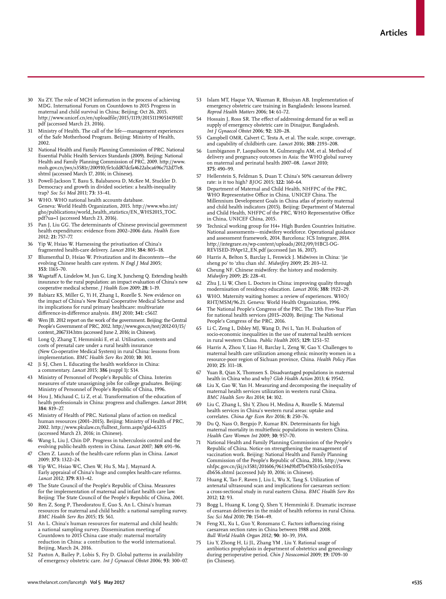- 30 Xu ZY. The role of MCH information in the process of achieving MDG. International Forum on Countdown to 2015 Progress in maternal and child survival in China; Beijing; Oct 26, 2015. http://www.unicef.cn/en/uploadfile/2015/1119/20151119051419107. pdf (accessed March 23, 2016).
- 31 Ministry of Health. The call of the life—management experiences of the Safe Motherhood Program. Beijing: Ministry of Health, 2002.
- 32 National Health and Family Planning Commission of PRC. National Essential Public Health Services Standards (2009). Beijing: National Health and Family Planning Commission of PRC, 2009. http://www. moh.gov.cn/jws/s3581r/200910/fe1cdd87dcfa4622abca696c712d77e8. shtml (accessed March 17, 2016; in Chinese).
- 33 Powell-Jackson T, Basu S, Balabanova D, McKee M, Stuckler D. Democracy and growth in divided societies: a health-inequality trap? *Soc Sci Med* 2011; **73:** 33–41.
- 34 WHO. WHO national health accounts database. Geneva: World Health Organization, 2015. http://www.who.int/ gho/publications/world\_health\_statistics/EN\_WHS2015\_TOC. pdf?ua=1 (accessed March 23, 2016).
- 35 Pan J, Liu GG. The determinants of Chinese provincial government health expenditures: evidence from 2002–2006 data. *Health Econ* 2012; **21:** 757–77.
- 36 Yip W, Hsiao W. Harnessing the privatisation of China's fragmented health-care delivery. *Lancet* 2014; **384:** 805–18.
- 37 Blumenthal D, Hsiao W. Privatization and its discontents—the evolving Chinese health care system. *N Engl J Med* 2005; **353:** 1165–70.
- 38 Wagstaff A, Lindelow M, Jun G, Ling X, Juncheng Q. Extending health insurance to the rural population: an impact evaluation of China's new cooperative medical scheme. *J Health Econ* 2009; **28:** 1–19.
- 39 Babiarz KS, Miller G, Yi H, Zhang L, Rozelle S. New evidence on the impact of China's New Rural Cooperative Medical Scheme and its implications for rural primary healthcare: multivariate difference-in-difference analysis. *BMJ* 2010; **341:** c5617.
- 40 Wen JB. 2012 report on the work of the government. Beijing: the Central People's Government of PRC, 2012. http://www.gov.cn/test/2012-03/15/ content\_2067314.htm (accessed June 2, 2016; in Chinese).
- Long Q, Zhang T, Hemminki E, et al. Utilisation, contents and costs of prenatal care under a rural health insurance (New Co-operative Medical System) in rural China: lessons from implementation. *BMC Health Serv Res* 2010; **10:** 301.
- 42 Ji SJ, Chen L. Educating the health workforce in China: a commentary. *Lancet* 2015; **386** (suppl 1)**:** S14.
- 43 Ministry of Personnel of People's Republic of China. Interim measures of state unassigning jobs for college graduates. Beijing: Ministry of Personnel of People's Republic of China, 1996.
- Hou J, Michaud C, Li Z, et al. Transformation of the education of health professionals in China: progress and challenges. *Lancet* 2014; **384:** 819–27.
- 45 Ministry of Health of PRC. National plans of action on medical human resources (2001–2015). Beijing: Ministry of Health of PRC, 2002. http://www.pkulaw.cn/fulltext\_form.aspx?gid=63215 (accessed March 23, 2016; in Chinese).
- 46 Wang L, Liu J, Chin DP. Progress in tuberculosis control and the evolving public-health system in China. *Lancet* 2007; **369:** 691–96.
- 47 Chen Z. Launch of the health-care reform plan in China. *Lancet* 2009; **373:** 1322–24.
- 48 Yip WC, Hsiao WC, Chen W, Hu S, Ma J, Maynard A. Early appraisal of China's huge and complex health-care reforms. *Lancet* 2012; **379:** 833–42.
- The State Council of the People's Republic of China. Measures for the implementation of maternal and infant health care law. Beijing: The State Council of the People's Republic of China, 2001.
- 50 Ren Z, Song P, Theodoratou E, Guo S, An L. China's human resources for maternal and child health: a national sampling survey. *BMC Health Serv Res* 2015; **15:** 561.
- 51 An L. China's human resources for maternal and child health: a national sampling survey. Dissemination meeting of Countdown to 2015 China case study: maternal mortality reduction in China: a contribution to the world international. Beijing, March 24, 2016.
- 52 Paxton A, Bailey P, Lobis S, Fry D. Global patterns in availability of emergency obstetric care. *Int J Gynaecol Obstet* 2006; **93:** 300–07.
- 53 Islam MT, Haque YA, Waxman R, Bhuiyan AB. Implementation of emergency obstetric care training in Bangladesh: lessons learned. *Reprod Health Matters* 2006; **14:** 61–72.
- Hossain J, Ross SR. The effect of addressing demand for as well as supply of emergency obstetric care in Dinajpur, Bangladesh. *Int J Gynaecol Obstet* 2006; **92:** 320–28.
- 55 Campbell OMR, Calvert C, Testa A, et al. The scale, scope, coverage, and capability of childbirth care. *Lancet* 2016; **388:** 2193–208.
- 56 Lumbiganon P, Laopaiboon M, Gulmezoglu AM, et al. Method of delivery and pregnancy outcomes in Asia: the WHO global survey on maternal and perinatal health 2007–08. *Lancet* 2010; **375:** 490–99.
- 57 Hellerstein S, Feldman S, Duan T. China's 50% caesarean delivery rate: is it too high? *BJOG* 2015; **122:** 160–64.
- Department of Maternal and Child Health, NHFPC of the PRC, WHO Representative Office in China, UNICEF China. The Millennium Development Goals in China atlas of priority maternal and child health indicators (2015). Beijing: Department of Maternal and Child Health, NHFPC of the PRC, WHO Representative Office in China, UNICEF China, 2015.
- Technical working group for H4+ High Burden Countries Initiative. National assessments—midwifery workforce. Operational guidance and assessment framework, 2014. Barcelona: ICS Integrare, 2014. http://integrare.es/wp-content/uploads/2012/09/HBCI-OG-REVISED-19Apr12\_EN.pdf (accessed Jan 16, 2017).
- Harris A, Belton S, Barclay L, Fenwick J. Midwives in China: 'jie sheng po' to 'zhu chan shi'. *Midwifery* 2009; **25:** 203–12.
- 61 Cheung NF. Chinese midwifery: the history and modernity. *Midwifery* 2009; **25:** 228–41.
- Zhu J, Li W, Chen L. Doctors in China: improving quality through modernisation of residency education. *Lancet* 2016; **388:** 1922–29.
- 63 WHO. Maternity waiting homes: a review of experiences. WHO/ RHT/MSM/96.21. Geneva: World Health Organization, 1996.
- 64 The National People's Congress of the PRC. The 13th Five-Year Plan for national health services (2015–2020). Beijing: The National People's Congress of the PRC, 2016.
- 65 Li C, Zeng L, Dibley MJ, Wang D, Pei L, Yan H. Evaluation of socio-economic inequalities in the use of maternal health services in rural western China. *Public Health* 2015; **129:** 1251–57.
- Harris A, Zhou Y, Liao H, Barclay L, Zeng W, Gao Y. Challenges to maternal health care utilization among ethnic minority women in a resource-poor region of Sichuan province, China. *Health Policy Plan* 2010; **25:** 311–18.
- 67 Yuan B, Qian X, Thomsen S. Disadvantaged populations in maternal health in China who and why? *Glob Health Action* 2013; **6:** 19542.
- Liu X, Gao W, Yan H. Measuring and decomposing the inequality of maternal health services utilization in western rural China. *BMC Health Serv Res* 2014; **14:** 102.
- 69 Liu C, Zhang L, Shi Y, Zhou H, Medina A, Rozelle S. Maternal health services in China's western rural areas: uptake and correlates. *China Agr Econ Rev* 2016; **8:** 250–76.
- 70 Du Q, Nass O, Bergsjo P, Kumar BN. Determinants for high maternal mortality in multiethnic populations in western China. *Health Care Women Int* 2009; **30:** 957–70.
- National Health and Family Planning Commission of the People's Republic of China. Notice on strengthening the management of vaccination work. Beijing: National Health and Family Planning Commission of the People's Republic of China, 2016. http://www. nhfpc.gov.cn/jkj/s3581/201606/96134d9bff7b4785b35c6bc035a db656.shtml (accessed July 10, 2016; in Chinese).
- 72 Huang K, Tao F, Raven J, Liu L, Wu X, Tang S. Utilization of antenatal ultrasound scan and implications for caesarean section: a cross-sectional study in rural eastern China. *BMC Health Serv Res* 2012; **12:** 93.
- 73 Bogg L, Huang K, Long Q, Shen Y, Hemminki E. Dramatic increase of cesarean deliveries in the midst of health reforms in rural China. *Soc Sci Med* 2010; **70:** 1544–49.
- 74 Feng XL, Xu L, Guo Y, Ronsmans C. Factors influencing rising caesarean section rates in China between 1988 and 2008. *Bull World Health Organ* 2012; **90:** 30–39, 39A.
- Liu Y, Zhong H, Li JL, Zhang YM , Liu Y. Rational usage of antibiotics prophylaxis in department of obstetrics and gynecology during perioperative period. *Chin J Nosocomiol* 2009; **19:** 1709–10 (in Chinese).